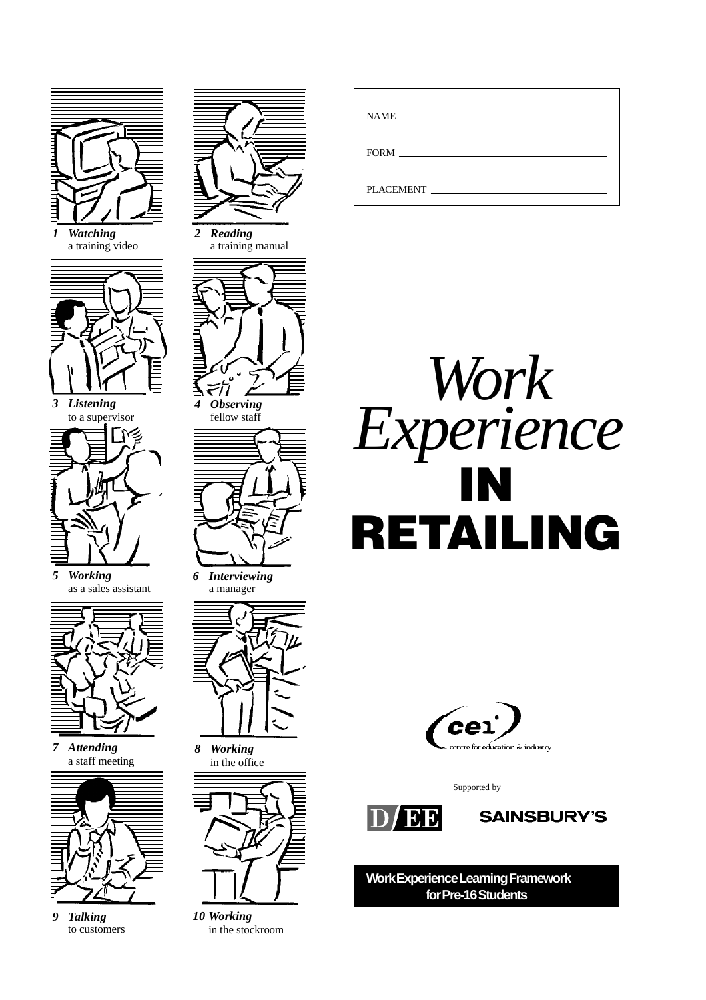

*1 Watching* a training video



*3 Listening* to a supervisor



*5 Working* as a sales assistant



*7 Attending* a staff meeting



*9 Talking* to customers



*2 Reading* a training manual



771 *4 Observing* fellow staff



*6 Interviewing* a manager



*8 Working* in the office



*10 Working* in the stockroom

| <b>NAME</b><br><u> 1980 - Jan Barbara Barbara, maso a popular estas popular estas popular estas popular estas popular estas pop</u> |
|-------------------------------------------------------------------------------------------------------------------------------------|
| FORM                                                                                                                                |
| <b>PLACEMENT</b>                                                                                                                    |





Supported by





**Work Experience Learning Framework for Pre-16 Students**